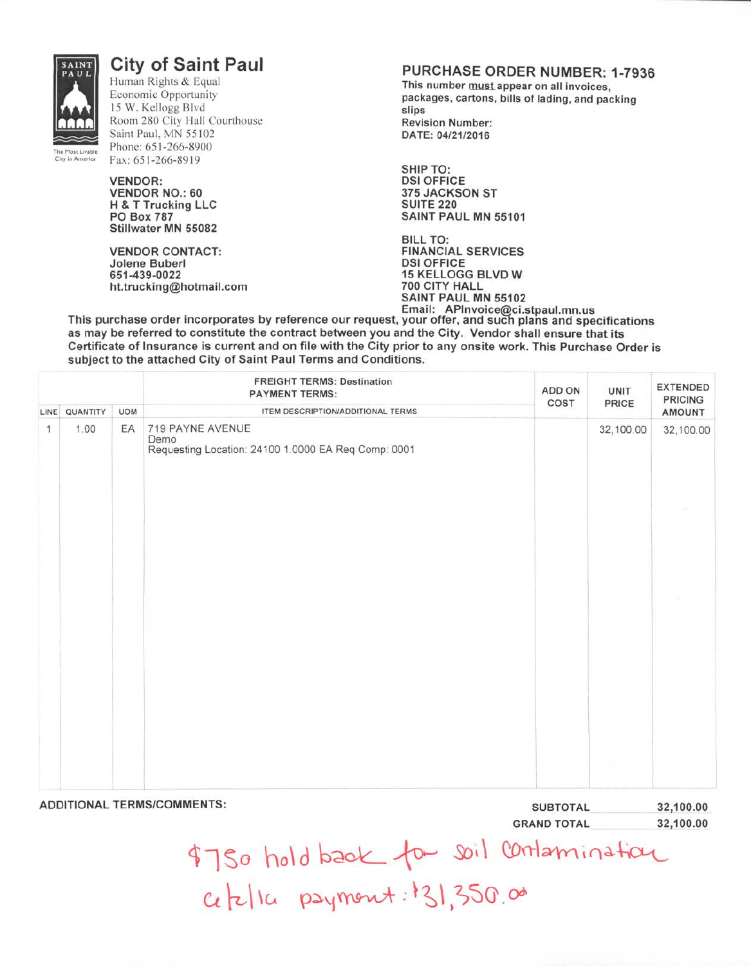

## **City of Saint Paul**

Human Rights & Equal Economic Opportunity 15 W. Kellogg Blvd Room 280 City Hall Courthouse Saint Paul, MN 55102 Phone:651-266-8900 Fax: 651-266-8919

**VENDOR: VENDOR NO.: 60 H & T Trucking LLC PO Box 787 Stillwater MN 55082**

**VENDOR CONTACT: Jolene Buberl 651-439-0022 ht.trucking@hotmail.com**

## **PURCHASE ORDER NUMBER: 1-7936**

This number must appear on all invoices, **packages, cartons, bills of lading, and packing slips Revision Number: DATE: 04/21/2016**

**SHIP TO: DSI OFFICE 375 JACKSON ST SUITE 220 SAINT PAUL MN 55101**

**BILL TO: FINANCIAL SERVICES DSI OFFICE 15 KELLOGG BLVD W 700 CITY HALL SAINT PAUL MN 55102 Email: APInvoice@ci.stpaul.mn.us**

**This purchase order incorporates by reference our request, your offer, and such plans and specifications as may be referred to constitute the contract between you and the City. Vendor shall ensure that its Certificate of Insurance is current and on file with the City prior to any onsite work. This Purchase Order is subject to the attached City of Saint Paul Terms and Conditions.**

|   |               |            | <b>FREIGHT TERMS: Destination</b><br><b>PAYMENT TERMS:</b>                      | ADD ON<br>COST  | UNIT<br>PRICE | <b>EXTENDED</b><br><b>PRICING</b> |
|---|---------------|------------|---------------------------------------------------------------------------------|-----------------|---------------|-----------------------------------|
|   | LINE QUANTITY | <b>UOM</b> | ITEM DESCRIPTION/ADDITIONAL TERMS                                               |                 |               | <b>AMOUNT</b>                     |
| 1 | 1.00          | EA         | 719 PAYNE AVENUE<br>Demo<br>Requesting Location: 24100 1.0000 EA Req Comp: 0001 |                 | 32,100.00     | 32,100.00                         |
|   |               |            |                                                                                 |                 |               |                                   |
|   |               |            |                                                                                 |                 |               |                                   |
|   |               |            |                                                                                 |                 |               |                                   |
|   |               |            |                                                                                 |                 |               |                                   |
|   |               |            |                                                                                 |                 |               |                                   |
|   |               |            | <b>ADDITIONAL TERMS/COMMENTS:</b>                                               | <b>SUBTOTAL</b> |               | 32,100.00                         |

| <b>SUBTOTAL</b> | 32,100.00 |  |  |
|-----------------|-----------|--|--|
| GRAND TOTAL     | 32,100.00 |  |  |

City in America